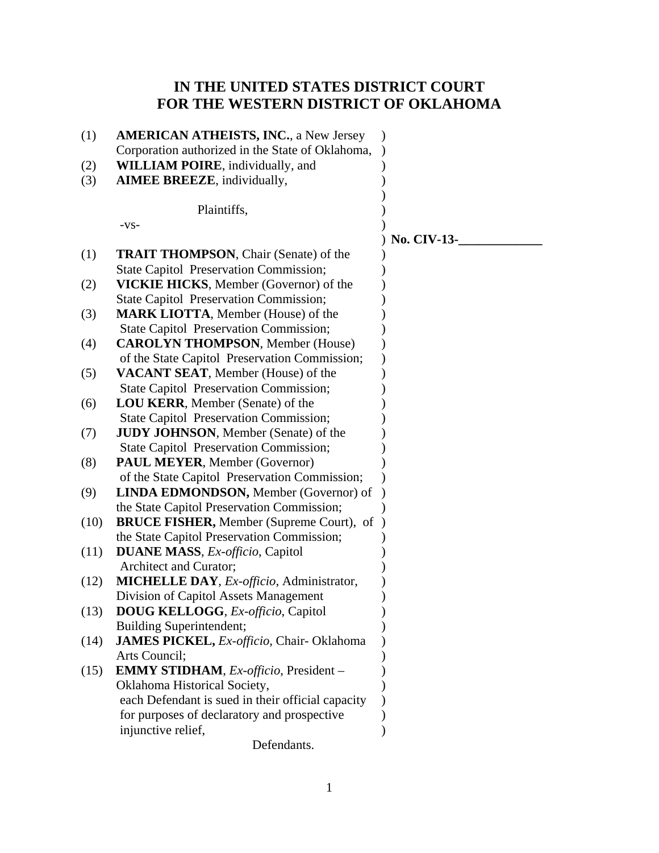# **IN THE UNITED STATES DISTRICT COURT FOR THE WESTERN DISTRICT OF OKLAHOMA**

| (1)  | <b>AMERICAN ATHEISTS, INC., a New Jersey</b>             |                    |
|------|----------------------------------------------------------|--------------------|
|      | Corporation authorized in the State of Oklahoma,         |                    |
| (2)  | <b>WILLIAM POIRE</b> , individually, and                 |                    |
| (3)  | <b>AIMEE BREEZE</b> , individually,                      |                    |
|      |                                                          |                    |
|      | Plaintiffs,                                              |                    |
|      | $-VS-$                                                   |                    |
|      |                                                          | <b>No. CIV-13-</b> |
| (1)  | <b>TRAIT THOMPSON, Chair (Senate) of the</b>             |                    |
|      | <b>State Capitol Preservation Commission;</b>            |                    |
| (2)  | <b>VICKIE HICKS</b> , Member (Governor) of the           |                    |
|      | <b>State Capitol Preservation Commission;</b>            |                    |
| (3)  | <b>MARK LIOTTA, Member (House) of the</b>                |                    |
|      | <b>State Capitol Preservation Commission;</b>            |                    |
| (4)  | <b>CAROLYN THOMPSON, Member (House)</b>                  |                    |
|      | of the State Capitol Preservation Commission;            |                    |
| (5)  | VACANT SEAT, Member (House) of the                       |                    |
|      | <b>State Capitol Preservation Commission;</b>            |                    |
| (6)  | LOU KERR, Member (Senate) of the                         |                    |
|      | <b>State Capitol Preservation Commission;</b>            |                    |
| (7)  | <b>JUDY JOHNSON</b> , Member (Senate) of the             |                    |
|      | <b>State Capitol Preservation Commission;</b>            |                    |
| (8)  | <b>PAUL MEYER, Member (Governor)</b>                     |                    |
|      | of the State Capitol Preservation Commission;            |                    |
| (9)  | <b>LINDA EDMONDSON, Member (Governor) of</b>             |                    |
|      | the State Capitol Preservation Commission;               |                    |
| (10) | <b>BRUCE FISHER, Member (Supreme Court), of</b>          |                    |
|      | the State Capitol Preservation Commission;               |                    |
| (11) | <b>DUANE MASS</b> , <i>Ex-officio</i> , Capitol          |                    |
|      | Architect and Curator;                                   |                    |
| (12) | <b>MICHELLE DAY</b> , <i>Ex-officio</i> , Administrator, |                    |
|      | Division of Capitol Assets Management                    |                    |
| (13) | <b>DOUG KELLOGG, Ex-officio, Capitol</b>                 |                    |
|      | <b>Building Superintendent;</b>                          |                    |
| (14) | <b>JAMES PICKEL, Ex-officio, Chair-Oklahoma</b>          |                    |
|      | Arts Council;                                            |                    |
| (15) | <b>EMMY STIDHAM</b> , <i>Ex-officio</i> , President –    |                    |
|      | Oklahoma Historical Society,                             |                    |
|      | each Defendant is sued in their official capacity        |                    |
|      | for purposes of declaratory and prospective              |                    |
|      | injunctive relief,                                       |                    |
|      | Defendants.                                              |                    |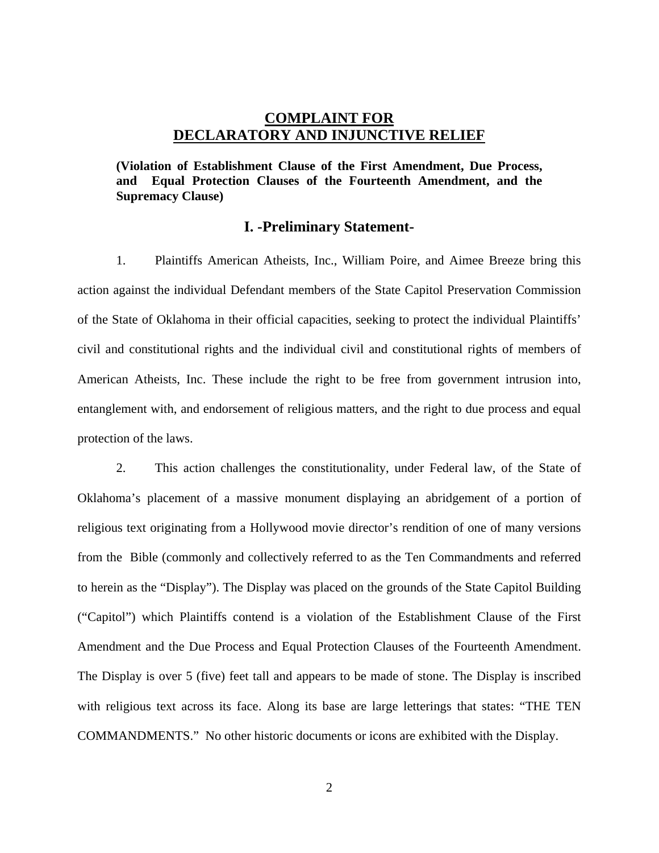### **COMPLAINT FOR DECLARATORY AND INJUNCTIVE RELIEF**

**(Violation of Establishment Clause of the First Amendment, Due Process, and Equal Protection Clauses of the Fourteenth Amendment, and the Supremacy Clause)**

#### **I. -Preliminary Statement-**

1. Plaintiffs American Atheists, Inc., William Poire, and Aimee Breeze bring this action against the individual Defendant members of the State Capitol Preservation Commission of the State of Oklahoma in their official capacities, seeking to protect the individual Plaintiffs' civil and constitutional rights and the individual civil and constitutional rights of members of American Atheists, Inc. These include the right to be free from government intrusion into, entanglement with, and endorsement of religious matters, and the right to due process and equal protection of the laws.

2. This action challenges the constitutionality, under Federal law, of the State of Oklahoma's placement of a massive monument displaying an abridgement of a portion of religious text originating from a Hollywood movie director's rendition of one of many versions from the Bible (commonly and collectively referred to as the Ten Commandments and referred to herein as the "Display"). The Display was placed on the grounds of the State Capitol Building ("Capitol") which Plaintiffs contend is a violation of the Establishment Clause of the First Amendment and the Due Process and Equal Protection Clauses of the Fourteenth Amendment. The Display is over 5 (five) feet tall and appears to be made of stone. The Display is inscribed with religious text across its face. Along its base are large letterings that states: "THE TEN COMMANDMENTS." No other historic documents or icons are exhibited with the Display.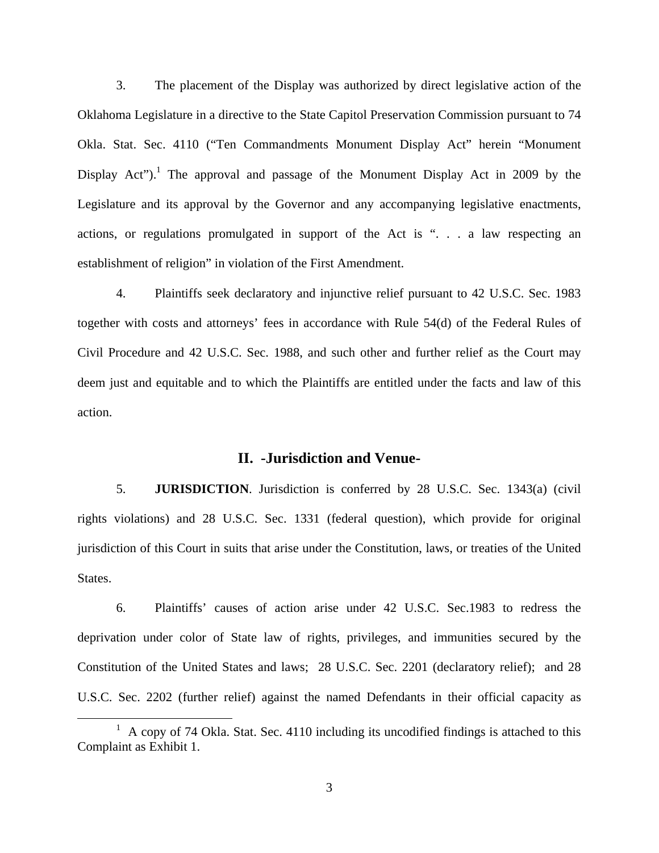3. The placement of the Display was authorized by direct legislative action of the Oklahoma Legislature in a directive to the State Capitol Preservation Commission pursuant to 74 Okla. Stat. Sec. 4110 ("Ten Commandments Monument Display Act" herein "Monument Display Act").<sup>1</sup> The approval and passage of the Monument Display Act in 2009 by the Legislature and its approval by the Governor and any accompanying legislative enactments, actions, or regulations promulgated in support of the Act is ". . . a law respecting an establishment of religion" in violation of the First Amendment.

4. Plaintiffs seek declaratory and injunctive relief pursuant to 42 U.S.C. Sec. 1983 together with costs and attorneys' fees in accordance with Rule 54(d) of the Federal Rules of Civil Procedure and 42 U.S.C. Sec. 1988, and such other and further relief as the Court may deem just and equitable and to which the Plaintiffs are entitled under the facts and law of this action.

### **II. -Jurisdiction and Venue-**

5. **JURISDICTION**. Jurisdiction is conferred by 28 U.S.C. Sec. 1343(a) (civil rights violations) and 28 U.S.C. Sec. 1331 (federal question), which provide for original jurisdiction of this Court in suits that arise under the Constitution, laws, or treaties of the United States.

6. Plaintiffs' causes of action arise under 42 U.S.C. Sec.1983 to redress the deprivation under color of State law of rights, privileges, and immunities secured by the Constitution of the United States and laws; 28 U.S.C. Sec. 2201 (declaratory relief); and 28 U.S.C. Sec. 2202 (further relief) against the named Defendants in their official capacity as

<sup>&</sup>lt;u>1</u>  $A$  copy of 74 Okla. Stat. Sec. 4110 including its uncodified findings is attached to this Complaint as Exhibit 1.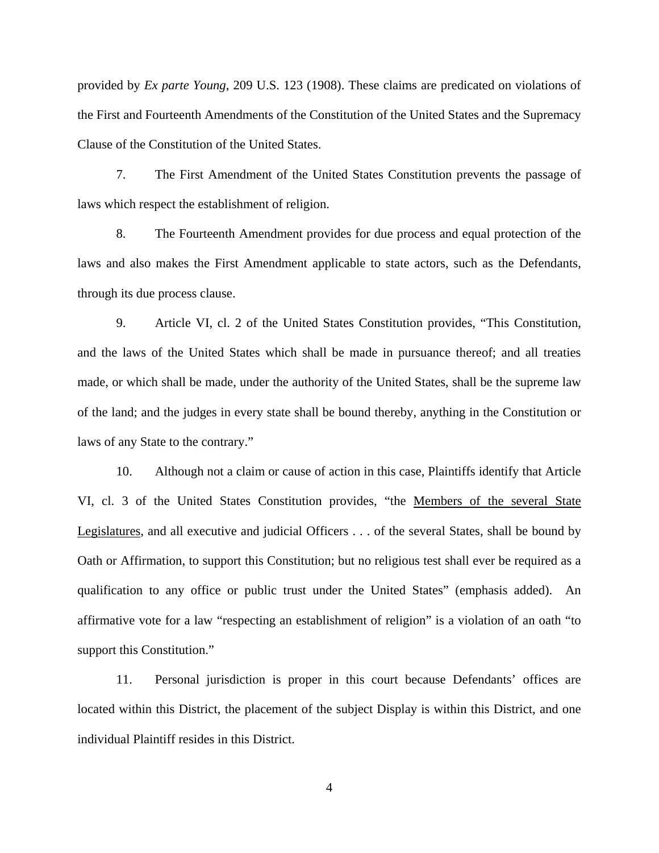provided by *Ex parte Young*, 209 U.S. 123 (1908). These claims are predicated on violations of the First and Fourteenth Amendments of the Constitution of the United States and the Supremacy Clause of the Constitution of the United States.

7. The First Amendment of the United States Constitution prevents the passage of laws which respect the establishment of religion.

8. The Fourteenth Amendment provides for due process and equal protection of the laws and also makes the First Amendment applicable to state actors, such as the Defendants, through its due process clause.

9. Article VI, cl. 2 of the United States Constitution provides, "This Constitution, and the laws of the United States which shall be made in pursuance thereof; and all treaties made, or which shall be made, under the authority of the United States, shall be the supreme law of the land; and the judges in every state shall be bound thereby, anything in the Constitution or laws of any State to the contrary."

10. Although not a claim or cause of action in this case, Plaintiffs identify that Article VI, cl. 3 of the United States Constitution provides, "the Members of the several State Legislatures, and all executive and judicial Officers . . . of the several States, shall be bound by Oath or Affirmation, to support this Constitution; but no religious test shall ever be required as a qualification to any office or public trust under the United States" (emphasis added). An affirmative vote for a law "respecting an establishment of religion" is a violation of an oath "to support this Constitution."

11. Personal jurisdiction is proper in this court because Defendants' offices are located within this District, the placement of the subject Display is within this District, and one individual Plaintiff resides in this District.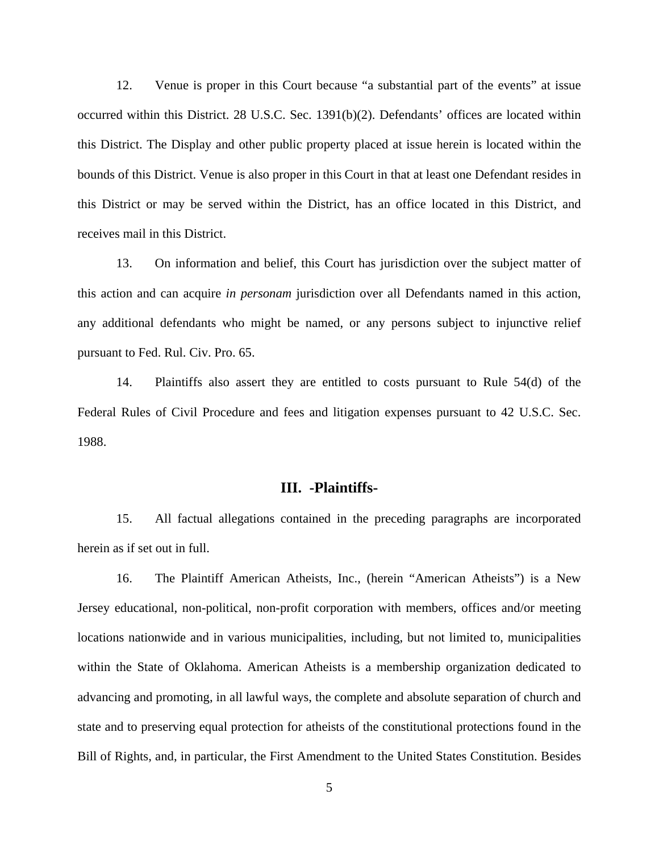12. Venue is proper in this Court because "a substantial part of the events" at issue occurred within this District. 28 U.S.C. Sec. 1391(b)(2). Defendants' offices are located within this District. The Display and other public property placed at issue herein is located within the bounds of this District. Venue is also proper in this Court in that at least one Defendant resides in this District or may be served within the District, has an office located in this District, and receives mail in this District.

13. On information and belief, this Court has jurisdiction over the subject matter of this action and can acquire *in personam* jurisdiction over all Defendants named in this action, any additional defendants who might be named, or any persons subject to injunctive relief pursuant to Fed. Rul. Civ. Pro. 65.

14. Plaintiffs also assert they are entitled to costs pursuant to Rule 54(d) of the Federal Rules of Civil Procedure and fees and litigation expenses pursuant to 42 U.S.C. Sec. 1988.

#### **III. -Plaintiffs-**

15. All factual allegations contained in the preceding paragraphs are incorporated herein as if set out in full.

16. The Plaintiff American Atheists, Inc., (herein "American Atheists") is a New Jersey educational, non-political, non-profit corporation with members, offices and/or meeting locations nationwide and in various municipalities, including, but not limited to, municipalities within the State of Oklahoma. American Atheists is a membership organization dedicated to advancing and promoting, in all lawful ways, the complete and absolute separation of church and state and to preserving equal protection for atheists of the constitutional protections found in the Bill of Rights, and, in particular, the First Amendment to the United States Constitution. Besides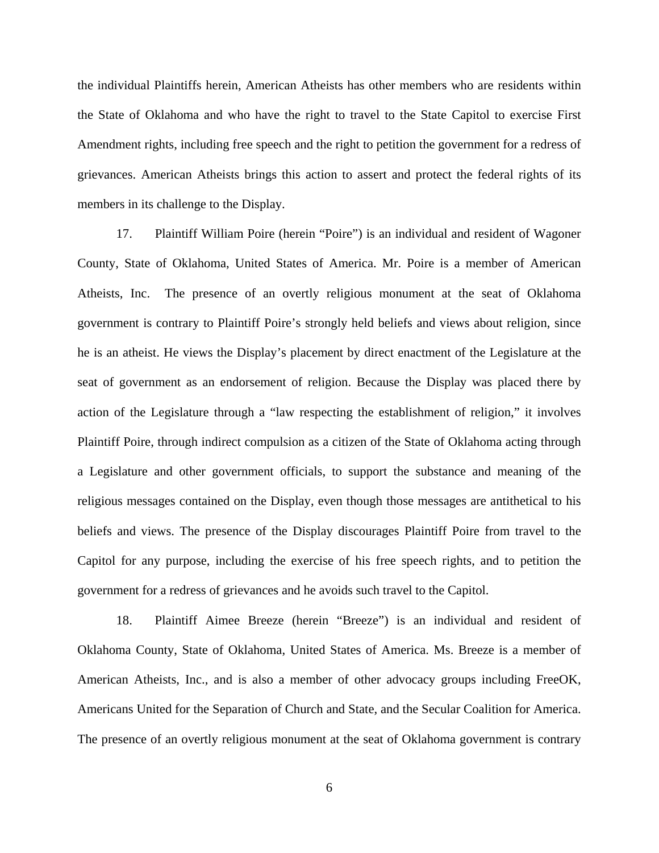the individual Plaintiffs herein, American Atheists has other members who are residents within the State of Oklahoma and who have the right to travel to the State Capitol to exercise First Amendment rights, including free speech and the right to petition the government for a redress of grievances. American Atheists brings this action to assert and protect the federal rights of its members in its challenge to the Display.

17. Plaintiff William Poire (herein "Poire") is an individual and resident of Wagoner County, State of Oklahoma, United States of America. Mr. Poire is a member of American Atheists, Inc. The presence of an overtly religious monument at the seat of Oklahoma government is contrary to Plaintiff Poire's strongly held beliefs and views about religion, since he is an atheist. He views the Display's placement by direct enactment of the Legislature at the seat of government as an endorsement of religion. Because the Display was placed there by action of the Legislature through a "law respecting the establishment of religion," it involves Plaintiff Poire, through indirect compulsion as a citizen of the State of Oklahoma acting through a Legislature and other government officials, to support the substance and meaning of the religious messages contained on the Display, even though those messages are antithetical to his beliefs and views. The presence of the Display discourages Plaintiff Poire from travel to the Capitol for any purpose, including the exercise of his free speech rights, and to petition the government for a redress of grievances and he avoids such travel to the Capitol.

18. Plaintiff Aimee Breeze (herein "Breeze") is an individual and resident of Oklahoma County, State of Oklahoma, United States of America. Ms. Breeze is a member of American Atheists, Inc., and is also a member of other advocacy groups including FreeOK, Americans United for the Separation of Church and State, and the Secular Coalition for America. The presence of an overtly religious monument at the seat of Oklahoma government is contrary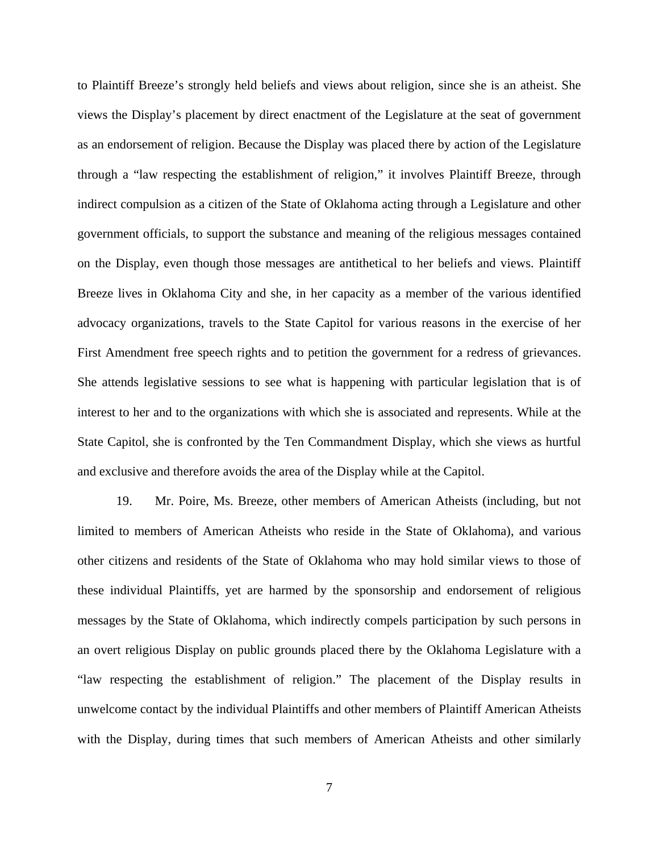to Plaintiff Breeze's strongly held beliefs and views about religion, since she is an atheist. She views the Display's placement by direct enactment of the Legislature at the seat of government as an endorsement of religion. Because the Display was placed there by action of the Legislature through a "law respecting the establishment of religion," it involves Plaintiff Breeze, through indirect compulsion as a citizen of the State of Oklahoma acting through a Legislature and other government officials, to support the substance and meaning of the religious messages contained on the Display, even though those messages are antithetical to her beliefs and views. Plaintiff Breeze lives in Oklahoma City and she, in her capacity as a member of the various identified advocacy organizations, travels to the State Capitol for various reasons in the exercise of her First Amendment free speech rights and to petition the government for a redress of grievances. She attends legislative sessions to see what is happening with particular legislation that is of interest to her and to the organizations with which she is associated and represents. While at the State Capitol, she is confronted by the Ten Commandment Display, which she views as hurtful and exclusive and therefore avoids the area of the Display while at the Capitol.

19. Mr. Poire, Ms. Breeze, other members of American Atheists (including, but not limited to members of American Atheists who reside in the State of Oklahoma), and various other citizens and residents of the State of Oklahoma who may hold similar views to those of these individual Plaintiffs, yet are harmed by the sponsorship and endorsement of religious messages by the State of Oklahoma, which indirectly compels participation by such persons in an overt religious Display on public grounds placed there by the Oklahoma Legislature with a "law respecting the establishment of religion." The placement of the Display results in unwelcome contact by the individual Plaintiffs and other members of Plaintiff American Atheists with the Display, during times that such members of American Atheists and other similarly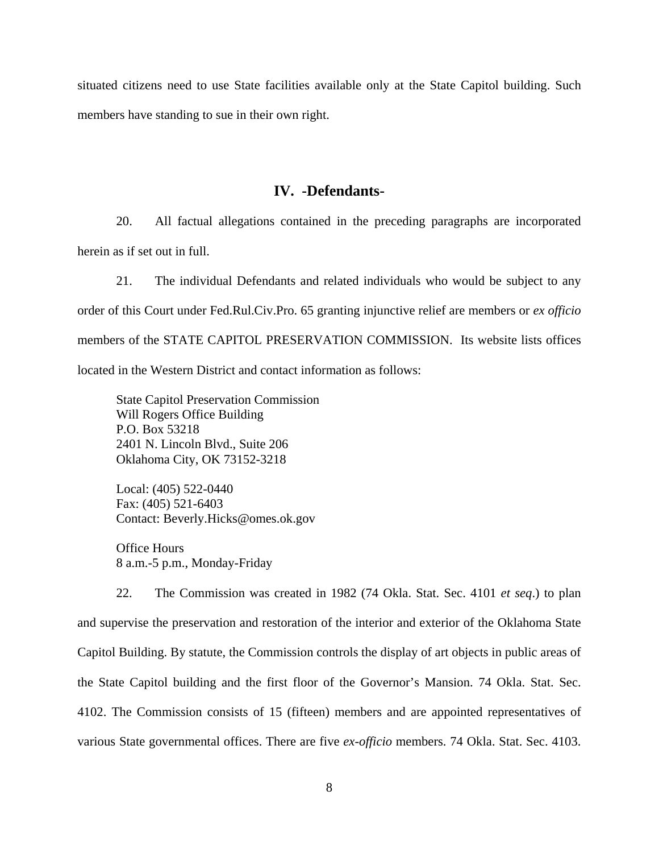situated citizens need to use State facilities available only at the State Capitol building. Such members have standing to sue in their own right.

#### **IV. -Defendants-**

20. All factual allegations contained in the preceding paragraphs are incorporated herein as if set out in full.

21. The individual Defendants and related individuals who would be subject to any order of this Court under Fed.Rul.Civ.Pro. 65 granting injunctive relief are members or *ex officio* members of the STATE CAPITOL PRESERVATION COMMISSION. Its website lists offices located in the Western District and contact information as follows:

State Capitol Preservation Commission Will Rogers Office Building P.O. Box 53218 2401 N. Lincoln Blvd., Suite 206 Oklahoma City, OK 73152-3218

Local: (405) 522-0440 Fax: (405) 521-6403 Contact: Beverly.Hicks@omes.ok.gov

Office Hours 8 a.m.-5 p.m., Monday-Friday

22. The Commission was created in 1982 (74 Okla. Stat. Sec. 4101 *et seq*.) to plan and supervise the preservation and restoration of the interior and exterior of the Oklahoma State Capitol Building. By statute, the Commission controls the display of art objects in public areas of the State Capitol building and the first floor of the Governor's Mansion. 74 Okla. Stat. Sec. 4102. The Commission consists of 15 (fifteen) members and are appointed representatives of various State governmental offices. There are five *ex-officio* members. 74 Okla. Stat. Sec. 4103.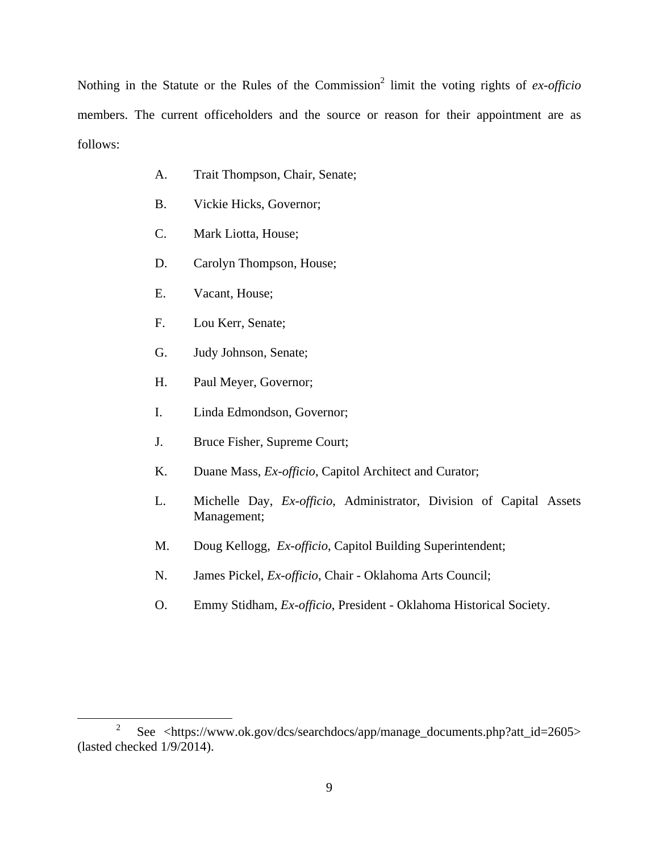Nothing in the Statute or the Rules of the Commission<sup>2</sup> limit the voting rights of *ex-officio* members. The current officeholders and the source or reason for their appointment are as follows:

- A. Trait Thompson, Chair, Senate;
- B. Vickie Hicks, Governor;
- C. Mark Liotta, House;
- D. Carolyn Thompson, House;
- E. Vacant, House;
- F. Lou Kerr, Senate;
- G. Judy Johnson, Senate;
- H. Paul Meyer, Governor;
- I. Linda Edmondson, Governor;
- J. Bruce Fisher, Supreme Court;
- K. Duane Mass, *Ex-officio*, Capitol Architect and Curator;
- L. Michelle Day, *Ex-officio*, Administrator, Division of Capital Assets Management;
- M. Doug Kellogg, *Ex-officio*, Capitol Building Superintendent;
- N. James Pickel, *Ex-officio*, Chair Oklahoma Arts Council;
- O. Emmy Stidham, *Ex-officio*, President Oklahoma Historical Society.

 <sup>2</sup>  $\degree$  See <https://www.ok.gov/dcs/searchdocs/app/manage\_documents.php?att\_id=2605> (lasted checked 1/9/2014).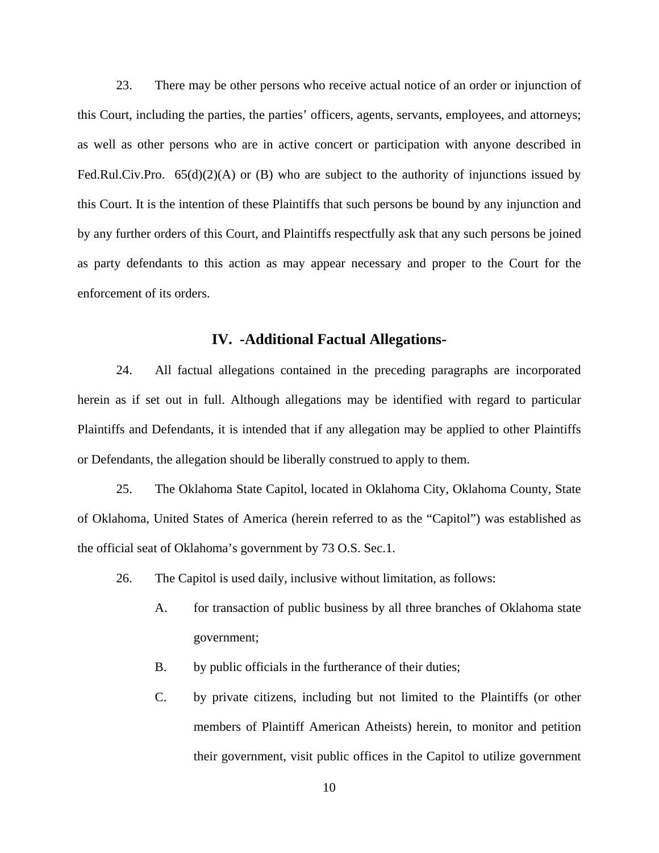23. There may be other persons who receive actual notice of an order or injunction of this Court, including the parties, the parties' officers, agents, servants, employees, and attorneys; as well as other persons who are in active concert or participation with anyone described in Fed.Rul.Civ.Pro.  $65(d)(2)(A)$  or (B) who are subject to the authority of injunctions issued by this Court. It is the intention of these Plaintiffs that such persons be bound by any injunction and by any further orders of this Court, and Plaintiffs respectfully ask that any such persons be joined as party defendants to this action as may appear necessary and proper to the Court for the enforcement of its orders.

#### **IV. -Additional Factual Allegations-**

24. All factual allegations contained in the preceding paragraphs are incorporated herein as if set out in full. Although allegations may be identified with regard to particular Plaintiffs and Defendants, it is intended that if any allegation may be applied to other Plaintiffs or Defendants, the allegation should be liberally construed to apply to them.

25. The Oklahoma State Capitol, located in Oklahoma City, Oklahoma County, State of Oklahoma, United States of America (herein referred to as the "Capitol") was established as the official seat of Oklahoma's government by 73 O.S. Sec.1.

26. The Capitol is used daily, inclusive without limitation, as follows:

- A. for transaction of public business by all three branches of Oklahoma state government;
- B. by public officials in the furtherance of their duties;
- C. by private citizens, including but not limited to the Plaintiffs (or other members of Plaintiff American Atheists) herein, to monitor and petition their government, visit public offices in the Capitol to utilize government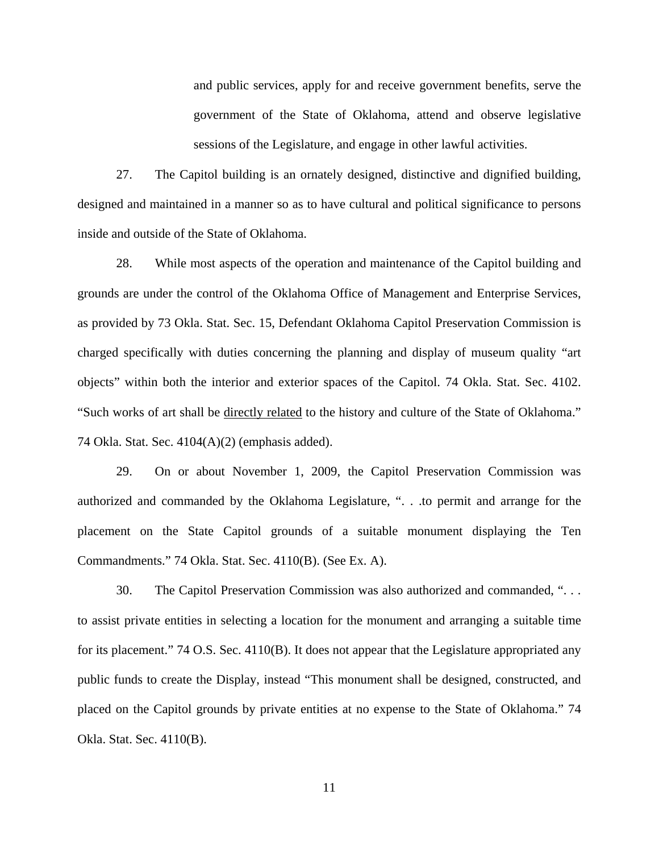and public services, apply for and receive government benefits, serve the government of the State of Oklahoma, attend and observe legislative sessions of the Legislature, and engage in other lawful activities.

27. The Capitol building is an ornately designed, distinctive and dignified building, designed and maintained in a manner so as to have cultural and political significance to persons inside and outside of the State of Oklahoma.

28. While most aspects of the operation and maintenance of the Capitol building and grounds are under the control of the Oklahoma Office of Management and Enterprise Services, as provided by 73 Okla. Stat. Sec. 15, Defendant Oklahoma Capitol Preservation Commission is charged specifically with duties concerning the planning and display of museum quality "art objects" within both the interior and exterior spaces of the Capitol. 74 Okla. Stat. Sec. 4102. "Such works of art shall be directly related to the history and culture of the State of Oklahoma." 74 Okla. Stat. Sec. 4104(A)(2) (emphasis added).

29. On or about November 1, 2009, the Capitol Preservation Commission was authorized and commanded by the Oklahoma Legislature, ". . .to permit and arrange for the placement on the State Capitol grounds of a suitable monument displaying the Ten Commandments." 74 Okla. Stat. Sec. 4110(B). (See Ex. A).

30. The Capitol Preservation Commission was also authorized and commanded, ". . . to assist private entities in selecting a location for the monument and arranging a suitable time for its placement." 74 O.S. Sec. 4110(B). It does not appear that the Legislature appropriated any public funds to create the Display, instead "This monument shall be designed, constructed, and placed on the Capitol grounds by private entities at no expense to the State of Oklahoma." 74 Okla. Stat. Sec. 4110(B).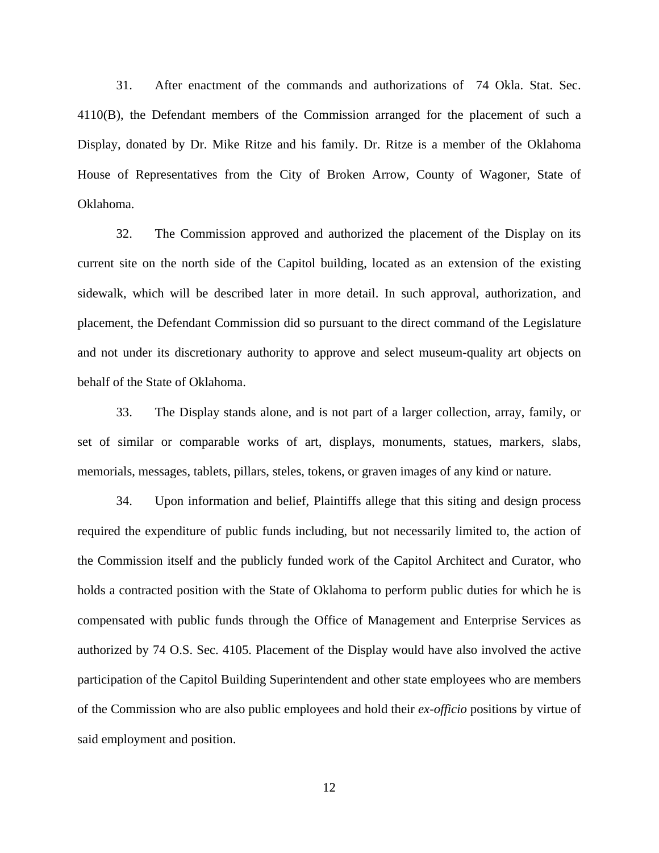31. After enactment of the commands and authorizations of 74 Okla. Stat. Sec. 4110(B), the Defendant members of the Commission arranged for the placement of such a Display, donated by Dr. Mike Ritze and his family. Dr. Ritze is a member of the Oklahoma House of Representatives from the City of Broken Arrow, County of Wagoner, State of Oklahoma.

32. The Commission approved and authorized the placement of the Display on its current site on the north side of the Capitol building, located as an extension of the existing sidewalk, which will be described later in more detail. In such approval, authorization, and placement, the Defendant Commission did so pursuant to the direct command of the Legislature and not under its discretionary authority to approve and select museum-quality art objects on behalf of the State of Oklahoma.

33. The Display stands alone, and is not part of a larger collection, array, family, or set of similar or comparable works of art, displays, monuments, statues, markers, slabs, memorials, messages, tablets, pillars, steles, tokens, or graven images of any kind or nature.

34. Upon information and belief, Plaintiffs allege that this siting and design process required the expenditure of public funds including, but not necessarily limited to, the action of the Commission itself and the publicly funded work of the Capitol Architect and Curator, who holds a contracted position with the State of Oklahoma to perform public duties for which he is compensated with public funds through the Office of Management and Enterprise Services as authorized by 74 O.S. Sec. 4105. Placement of the Display would have also involved the active participation of the Capitol Building Superintendent and other state employees who are members of the Commission who are also public employees and hold their *ex-officio* positions by virtue of said employment and position.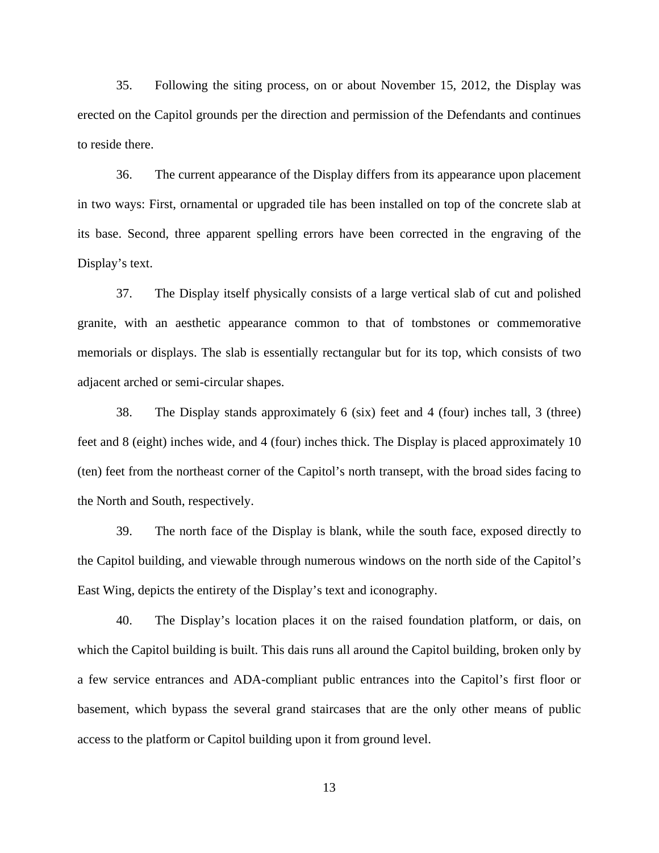35. Following the siting process, on or about November 15, 2012, the Display was erected on the Capitol grounds per the direction and permission of the Defendants and continues to reside there.

36. The current appearance of the Display differs from its appearance upon placement in two ways: First, ornamental or upgraded tile has been installed on top of the concrete slab at its base. Second, three apparent spelling errors have been corrected in the engraving of the Display's text.

37. The Display itself physically consists of a large vertical slab of cut and polished granite, with an aesthetic appearance common to that of tombstones or commemorative memorials or displays. The slab is essentially rectangular but for its top, which consists of two adjacent arched or semi-circular shapes.

38. The Display stands approximately 6 (six) feet and 4 (four) inches tall, 3 (three) feet and 8 (eight) inches wide, and 4 (four) inches thick. The Display is placed approximately 10 (ten) feet from the northeast corner of the Capitol's north transept, with the broad sides facing to the North and South, respectively.

39. The north face of the Display is blank, while the south face, exposed directly to the Capitol building, and viewable through numerous windows on the north side of the Capitol's East Wing, depicts the entirety of the Display's text and iconography.

40. The Display's location places it on the raised foundation platform, or dais, on which the Capitol building is built. This dais runs all around the Capitol building, broken only by a few service entrances and ADA-compliant public entrances into the Capitol's first floor or basement, which bypass the several grand staircases that are the only other means of public access to the platform or Capitol building upon it from ground level.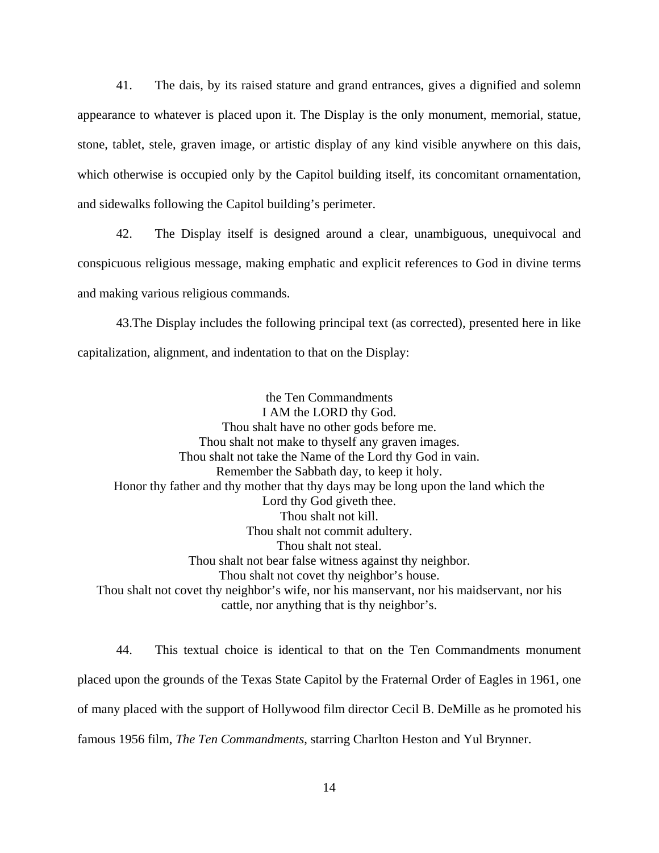41. The dais, by its raised stature and grand entrances, gives a dignified and solemn appearance to whatever is placed upon it. The Display is the only monument, memorial, statue, stone, tablet, stele, graven image, or artistic display of any kind visible anywhere on this dais, which otherwise is occupied only by the Capitol building itself, its concomitant ornamentation, and sidewalks following the Capitol building's perimeter.

42. The Display itself is designed around a clear, unambiguous, unequivocal and conspicuous religious message, making emphatic and explicit references to God in divine terms and making various religious commands.

43.The Display includes the following principal text (as corrected), presented here in like capitalization, alignment, and indentation to that on the Display:

 the Ten Commandments I AM the LORD thy God. Thou shalt have no other gods before me. Thou shalt not make to thyself any graven images. Thou shalt not take the Name of the Lord thy God in vain. Remember the Sabbath day, to keep it holy. Honor thy father and thy mother that thy days may be long upon the land which the Lord thy God giveth thee. Thou shalt not kill. Thou shalt not commit adultery. Thou shalt not steal. Thou shalt not bear false witness against thy neighbor. Thou shalt not covet thy neighbor's house. Thou shalt not covet thy neighbor's wife, nor his manservant, nor his maidservant, nor his cattle, nor anything that is thy neighbor's.

44. This textual choice is identical to that on the Ten Commandments monument placed upon the grounds of the Texas State Capitol by the Fraternal Order of Eagles in 1961, one of many placed with the support of Hollywood film director Cecil B. DeMille as he promoted his famous 1956 film, *The Ten Commandments*, starring Charlton Heston and Yul Brynner.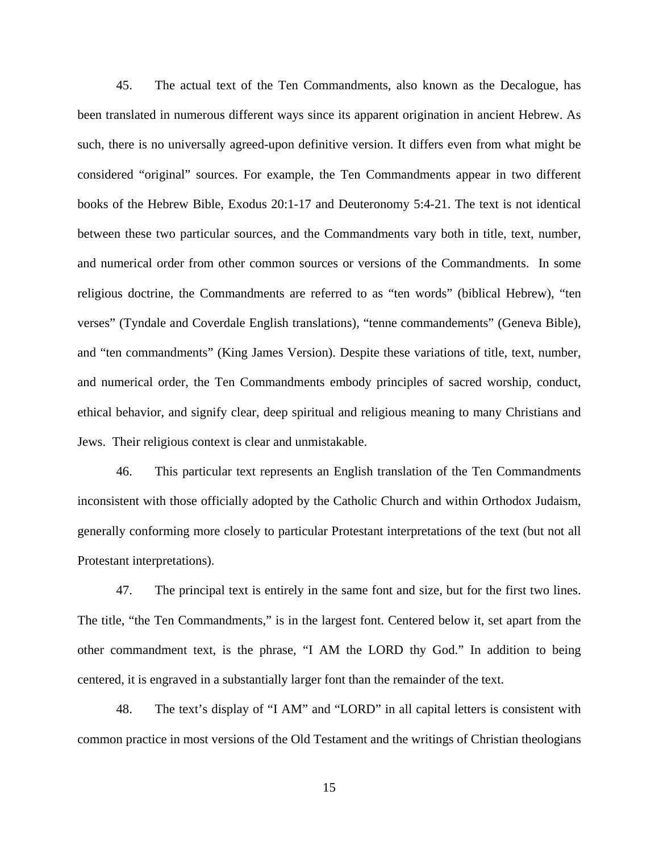45. The actual text of the Ten Commandments, also known as the Decalogue, has been translated in numerous different ways since its apparent origination in ancient Hebrew. As such, there is no universally agreed-upon definitive version. It differs even from what might be considered "original" sources. For example, the Ten Commandments appear in two different books of the Hebrew Bible, Exodus 20:1-17 and Deuteronomy 5:4-21. The text is not identical between these two particular sources, and the Commandments vary both in title, text, number, and numerical order from other common sources or versions of the Commandments. In some religious doctrine, the Commandments are referred to as "ten words" (biblical Hebrew), "ten verses" (Tyndale and Coverdale English translations), "tenne commandements" (Geneva Bible), and "ten commandments" (King James Version). Despite these variations of title, text, number, and numerical order, the Ten Commandments embody principles of sacred worship, conduct, ethical behavior, and signify clear, deep spiritual and religious meaning to many Christians and Jews. Their religious context is clear and unmistakable.

46. This particular text represents an English translation of the Ten Commandments inconsistent with those officially adopted by the Catholic Church and within Orthodox Judaism, generally conforming more closely to particular Protestant interpretations of the text (but not all Protestant interpretations).

47. The principal text is entirely in the same font and size, but for the first two lines. The title, "the Ten Commandments," is in the largest font. Centered below it, set apart from the other commandment text, is the phrase, "I AM the LORD thy God." In addition to being centered, it is engraved in a substantially larger font than the remainder of the text.

48. The text's display of "I AM" and "LORD" in all capital letters is consistent with common practice in most versions of the Old Testament and the writings of Christian theologians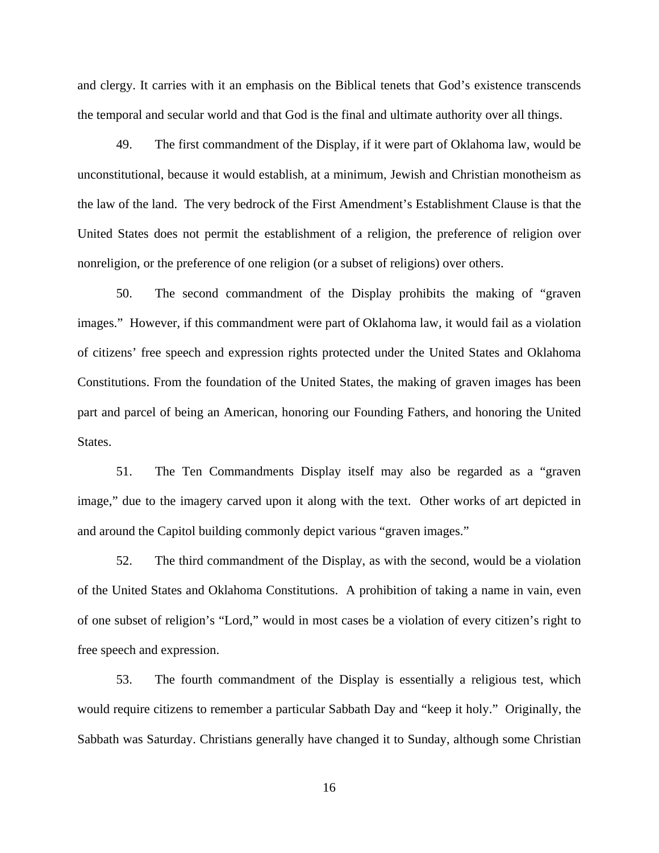and clergy. It carries with it an emphasis on the Biblical tenets that God's existence transcends the temporal and secular world and that God is the final and ultimate authority over all things.

49. The first commandment of the Display, if it were part of Oklahoma law, would be unconstitutional, because it would establish, at a minimum, Jewish and Christian monotheism as the law of the land. The very bedrock of the First Amendment's Establishment Clause is that the United States does not permit the establishment of a religion, the preference of religion over nonreligion, or the preference of one religion (or a subset of religions) over others.

50. The second commandment of the Display prohibits the making of "graven images." However, if this commandment were part of Oklahoma law, it would fail as a violation of citizens' free speech and expression rights protected under the United States and Oklahoma Constitutions. From the foundation of the United States, the making of graven images has been part and parcel of being an American, honoring our Founding Fathers, and honoring the United States.

51. The Ten Commandments Display itself may also be regarded as a "graven image," due to the imagery carved upon it along with the text. Other works of art depicted in and around the Capitol building commonly depict various "graven images."

52. The third commandment of the Display, as with the second, would be a violation of the United States and Oklahoma Constitutions. A prohibition of taking a name in vain, even of one subset of religion's "Lord," would in most cases be a violation of every citizen's right to free speech and expression.

53. The fourth commandment of the Display is essentially a religious test, which would require citizens to remember a particular Sabbath Day and "keep it holy." Originally, the Sabbath was Saturday. Christians generally have changed it to Sunday, although some Christian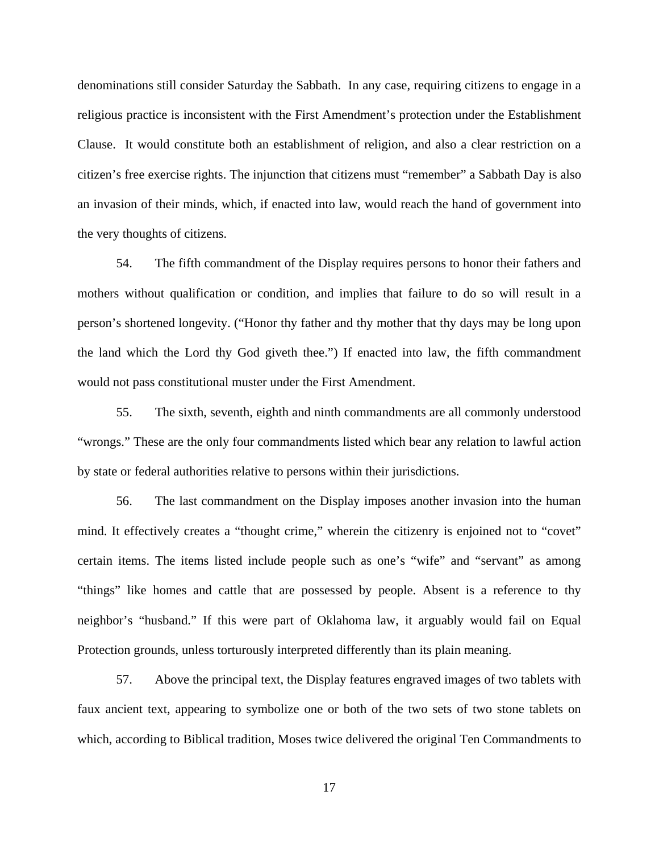denominations still consider Saturday the Sabbath. In any case, requiring citizens to engage in a religious practice is inconsistent with the First Amendment's protection under the Establishment Clause. It would constitute both an establishment of religion, and also a clear restriction on a citizen's free exercise rights. The injunction that citizens must "remember" a Sabbath Day is also an invasion of their minds, which, if enacted into law, would reach the hand of government into the very thoughts of citizens.

54. The fifth commandment of the Display requires persons to honor their fathers and mothers without qualification or condition, and implies that failure to do so will result in a person's shortened longevity. ("Honor thy father and thy mother that thy days may be long upon the land which the Lord thy God giveth thee.") If enacted into law, the fifth commandment would not pass constitutional muster under the First Amendment.

55. The sixth, seventh, eighth and ninth commandments are all commonly understood "wrongs." These are the only four commandments listed which bear any relation to lawful action by state or federal authorities relative to persons within their jurisdictions.

56. The last commandment on the Display imposes another invasion into the human mind. It effectively creates a "thought crime," wherein the citizenry is enjoined not to "covet" certain items. The items listed include people such as one's "wife" and "servant" as among "things" like homes and cattle that are possessed by people. Absent is a reference to thy neighbor's "husband." If this were part of Oklahoma law, it arguably would fail on Equal Protection grounds, unless torturously interpreted differently than its plain meaning.

57. Above the principal text, the Display features engraved images of two tablets with faux ancient text, appearing to symbolize one or both of the two sets of two stone tablets on which, according to Biblical tradition, Moses twice delivered the original Ten Commandments to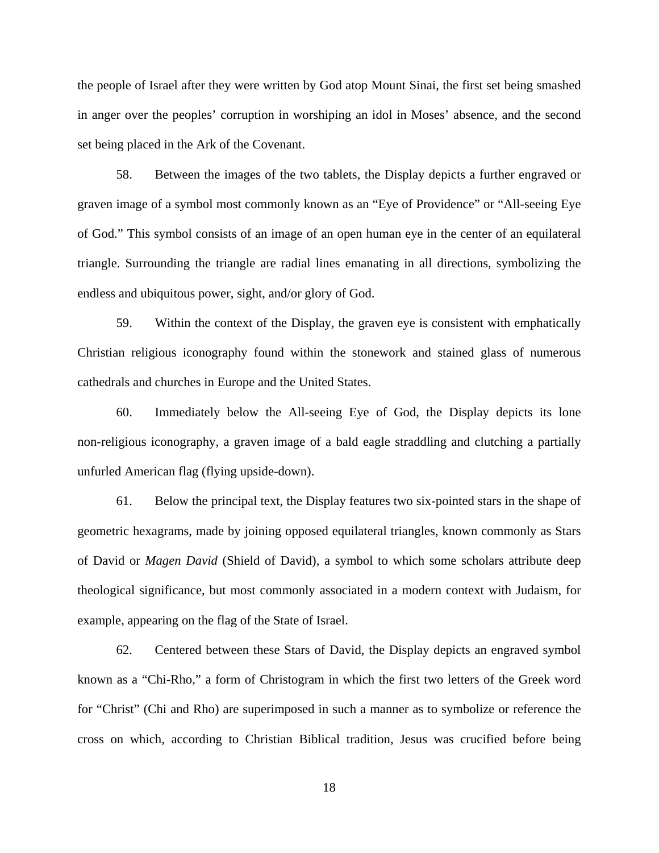the people of Israel after they were written by God atop Mount Sinai, the first set being smashed in anger over the peoples' corruption in worshiping an idol in Moses' absence, and the second set being placed in the Ark of the Covenant.

58. Between the images of the two tablets, the Display depicts a further engraved or graven image of a symbol most commonly known as an "Eye of Providence" or "All-seeing Eye of God." This symbol consists of an image of an open human eye in the center of an equilateral triangle. Surrounding the triangle are radial lines emanating in all directions, symbolizing the endless and ubiquitous power, sight, and/or glory of God.

59. Within the context of the Display, the graven eye is consistent with emphatically Christian religious iconography found within the stonework and stained glass of numerous cathedrals and churches in Europe and the United States.

60. Immediately below the All-seeing Eye of God, the Display depicts its lone non-religious iconography, a graven image of a bald eagle straddling and clutching a partially unfurled American flag (flying upside-down).

61. Below the principal text, the Display features two six-pointed stars in the shape of geometric hexagrams, made by joining opposed equilateral triangles, known commonly as Stars of David or *Magen David* (Shield of David), a symbol to which some scholars attribute deep theological significance, but most commonly associated in a modern context with Judaism, for example, appearing on the flag of the State of Israel.

62. Centered between these Stars of David, the Display depicts an engraved symbol known as a "Chi-Rho," a form of Christogram in which the first two letters of the Greek word for "Christ" (Chi and Rho) are superimposed in such a manner as to symbolize or reference the cross on which, according to Christian Biblical tradition, Jesus was crucified before being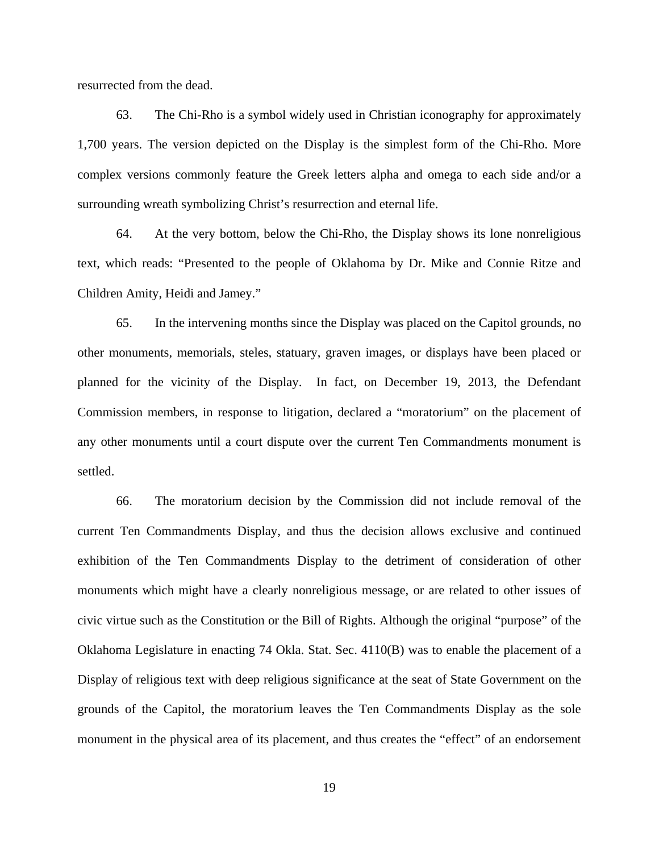resurrected from the dead.

63. The Chi-Rho is a symbol widely used in Christian iconography for approximately 1,700 years. The version depicted on the Display is the simplest form of the Chi-Rho. More complex versions commonly feature the Greek letters alpha and omega to each side and/or a surrounding wreath symbolizing Christ's resurrection and eternal life.

64. At the very bottom, below the Chi-Rho, the Display shows its lone nonreligious text, which reads: "Presented to the people of Oklahoma by Dr. Mike and Connie Ritze and Children Amity, Heidi and Jamey."

65. In the intervening months since the Display was placed on the Capitol grounds, no other monuments, memorials, steles, statuary, graven images, or displays have been placed or planned for the vicinity of the Display. In fact, on December 19, 2013, the Defendant Commission members, in response to litigation, declared a "moratorium" on the placement of any other monuments until a court dispute over the current Ten Commandments monument is settled.

66. The moratorium decision by the Commission did not include removal of the current Ten Commandments Display, and thus the decision allows exclusive and continued exhibition of the Ten Commandments Display to the detriment of consideration of other monuments which might have a clearly nonreligious message, or are related to other issues of civic virtue such as the Constitution or the Bill of Rights. Although the original "purpose" of the Oklahoma Legislature in enacting 74 Okla. Stat. Sec. 4110(B) was to enable the placement of a Display of religious text with deep religious significance at the seat of State Government on the grounds of the Capitol, the moratorium leaves the Ten Commandments Display as the sole monument in the physical area of its placement, and thus creates the "effect" of an endorsement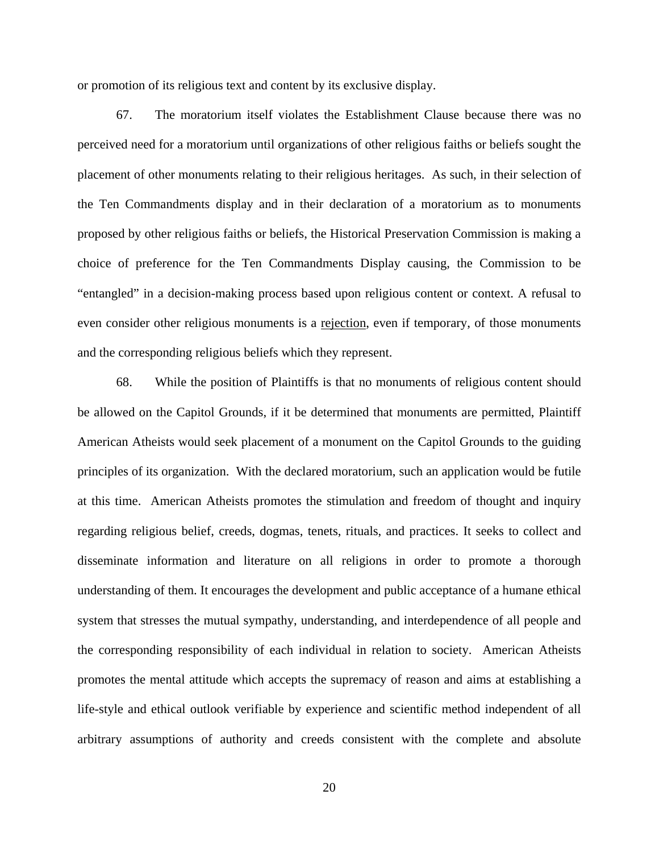or promotion of its religious text and content by its exclusive display.

67. The moratorium itself violates the Establishment Clause because there was no perceived need for a moratorium until organizations of other religious faiths or beliefs sought the placement of other monuments relating to their religious heritages. As such, in their selection of the Ten Commandments display and in their declaration of a moratorium as to monuments proposed by other religious faiths or beliefs, the Historical Preservation Commission is making a choice of preference for the Ten Commandments Display causing, the Commission to be "entangled" in a decision-making process based upon religious content or context. A refusal to even consider other religious monuments is a rejection, even if temporary, of those monuments and the corresponding religious beliefs which they represent.

68. While the position of Plaintiffs is that no monuments of religious content should be allowed on the Capitol Grounds, if it be determined that monuments are permitted, Plaintiff American Atheists would seek placement of a monument on the Capitol Grounds to the guiding principles of its organization. With the declared moratorium, such an application would be futile at this time. American Atheists promotes the stimulation and freedom of thought and inquiry regarding religious belief, creeds, dogmas, tenets, rituals, and practices. It seeks to collect and disseminate information and literature on all religions in order to promote a thorough understanding of them. It encourages the development and public acceptance of a humane ethical system that stresses the mutual sympathy, understanding, and interdependence of all people and the corresponding responsibility of each individual in relation to society. American Atheists promotes the mental attitude which accepts the supremacy of reason and aims at establishing a life-style and ethical outlook verifiable by experience and scientific method independent of all arbitrary assumptions of authority and creeds consistent with the complete and absolute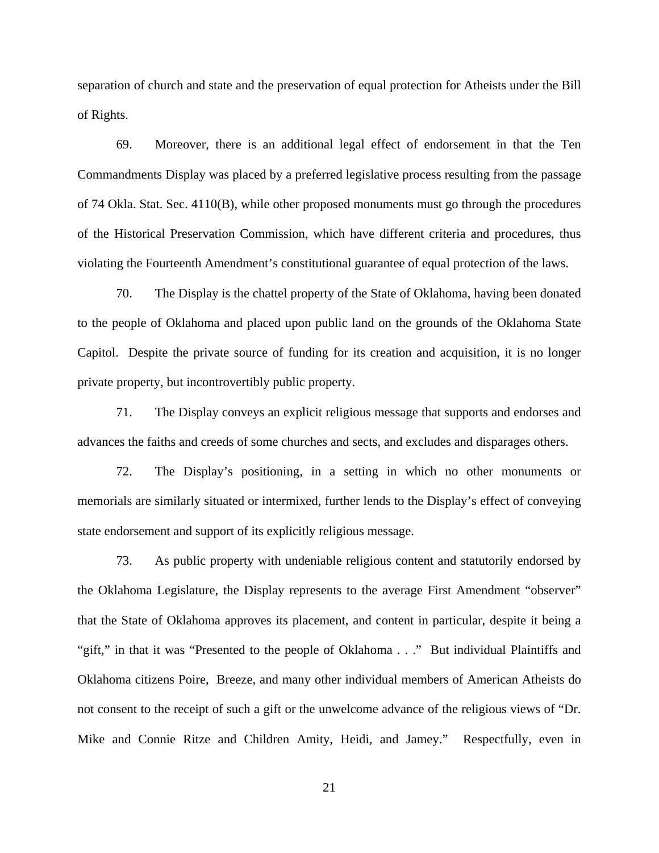separation of church and state and the preservation of equal protection for Atheists under the Bill of Rights.

69. Moreover, there is an additional legal effect of endorsement in that the Ten Commandments Display was placed by a preferred legislative process resulting from the passage of 74 Okla. Stat. Sec. 4110(B), while other proposed monuments must go through the procedures of the Historical Preservation Commission, which have different criteria and procedures, thus violating the Fourteenth Amendment's constitutional guarantee of equal protection of the laws.

70. The Display is the chattel property of the State of Oklahoma, having been donated to the people of Oklahoma and placed upon public land on the grounds of the Oklahoma State Capitol. Despite the private source of funding for its creation and acquisition, it is no longer private property, but incontrovertibly public property.

71. The Display conveys an explicit religious message that supports and endorses and advances the faiths and creeds of some churches and sects, and excludes and disparages others.

72. The Display's positioning, in a setting in which no other monuments or memorials are similarly situated or intermixed, further lends to the Display's effect of conveying state endorsement and support of its explicitly religious message.

73. As public property with undeniable religious content and statutorily endorsed by the Oklahoma Legislature, the Display represents to the average First Amendment "observer" that the State of Oklahoma approves its placement, and content in particular, despite it being a "gift," in that it was "Presented to the people of Oklahoma . . ." But individual Plaintiffs and Oklahoma citizens Poire, Breeze, and many other individual members of American Atheists do not consent to the receipt of such a gift or the unwelcome advance of the religious views of "Dr. Mike and Connie Ritze and Children Amity, Heidi, and Jamey." Respectfully, even in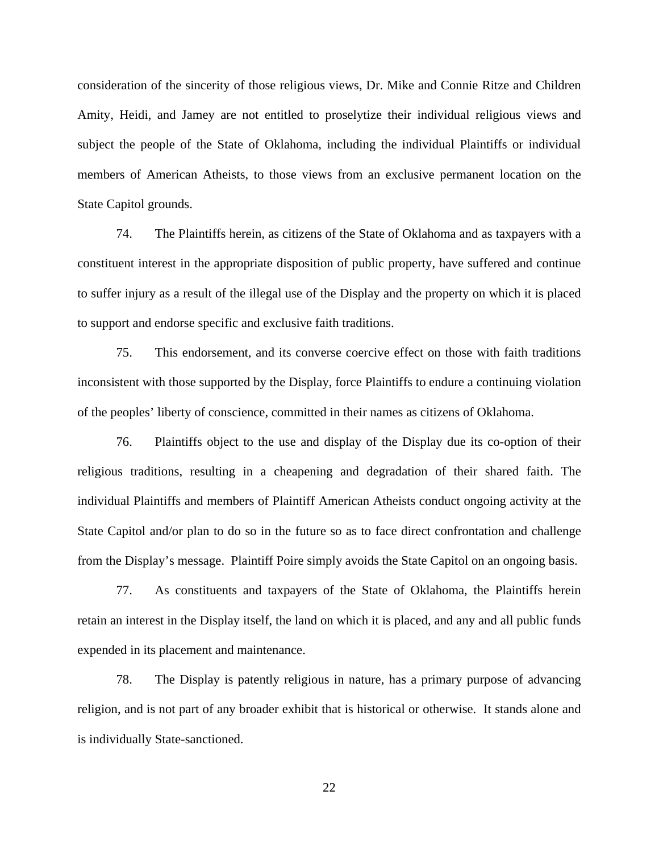consideration of the sincerity of those religious views, Dr. Mike and Connie Ritze and Children Amity, Heidi, and Jamey are not entitled to proselytize their individual religious views and subject the people of the State of Oklahoma, including the individual Plaintiffs or individual members of American Atheists, to those views from an exclusive permanent location on the State Capitol grounds.

74. The Plaintiffs herein, as citizens of the State of Oklahoma and as taxpayers with a constituent interest in the appropriate disposition of public property, have suffered and continue to suffer injury as a result of the illegal use of the Display and the property on which it is placed to support and endorse specific and exclusive faith traditions.

75. This endorsement, and its converse coercive effect on those with faith traditions inconsistent with those supported by the Display, force Plaintiffs to endure a continuing violation of the peoples' liberty of conscience, committed in their names as citizens of Oklahoma.

76. Plaintiffs object to the use and display of the Display due its co-option of their religious traditions, resulting in a cheapening and degradation of their shared faith. The individual Plaintiffs and members of Plaintiff American Atheists conduct ongoing activity at the State Capitol and/or plan to do so in the future so as to face direct confrontation and challenge from the Display's message. Plaintiff Poire simply avoids the State Capitol on an ongoing basis.

77. As constituents and taxpayers of the State of Oklahoma, the Plaintiffs herein retain an interest in the Display itself, the land on which it is placed, and any and all public funds expended in its placement and maintenance.

78. The Display is patently religious in nature, has a primary purpose of advancing religion, and is not part of any broader exhibit that is historical or otherwise. It stands alone and is individually State-sanctioned.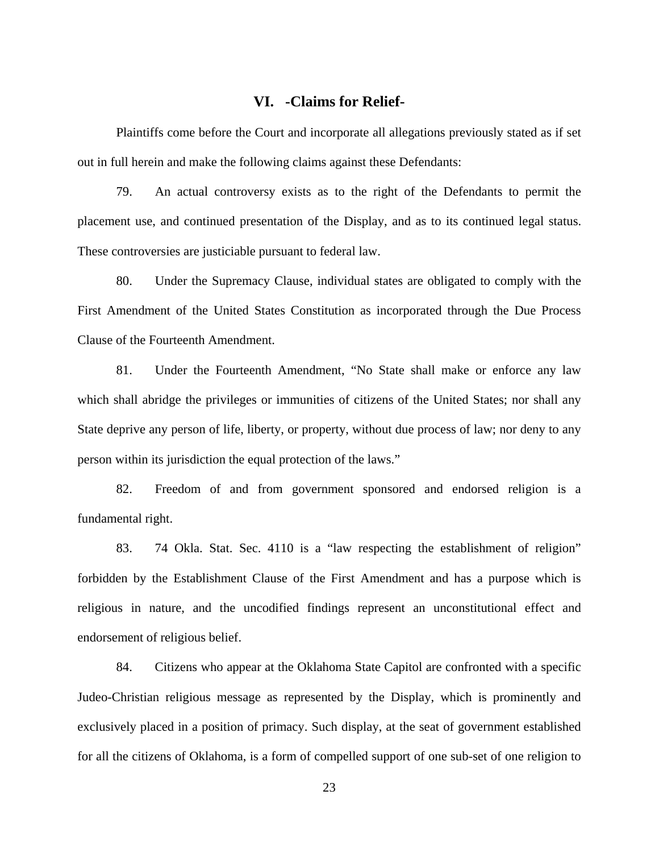#### **VI. -Claims for Relief-**

Plaintiffs come before the Court and incorporate all allegations previously stated as if set out in full herein and make the following claims against these Defendants:

79. An actual controversy exists as to the right of the Defendants to permit the placement use, and continued presentation of the Display, and as to its continued legal status. These controversies are justiciable pursuant to federal law.

80. Under the Supremacy Clause, individual states are obligated to comply with the First Amendment of the United States Constitution as incorporated through the Due Process Clause of the Fourteenth Amendment.

81. Under the Fourteenth Amendment, "No State shall make or enforce any law which shall abridge the privileges or immunities of citizens of the United States; nor shall any State deprive any person of life, liberty, or property, without due process of law; nor deny to any person within its jurisdiction the equal protection of the laws."

82. Freedom of and from government sponsored and endorsed religion is a fundamental right.

83. 74 Okla. Stat. Sec. 4110 is a "law respecting the establishment of religion" forbidden by the Establishment Clause of the First Amendment and has a purpose which is religious in nature, and the uncodified findings represent an unconstitutional effect and endorsement of religious belief.

84. Citizens who appear at the Oklahoma State Capitol are confronted with a specific Judeo-Christian religious message as represented by the Display, which is prominently and exclusively placed in a position of primacy. Such display, at the seat of government established for all the citizens of Oklahoma, is a form of compelled support of one sub-set of one religion to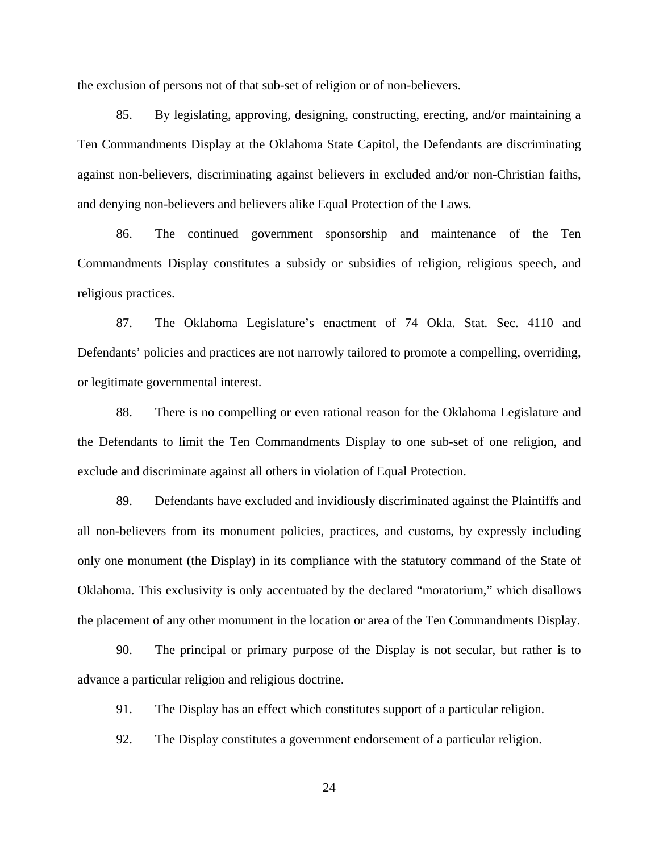the exclusion of persons not of that sub-set of religion or of non-believers.

85. By legislating, approving, designing, constructing, erecting, and/or maintaining a Ten Commandments Display at the Oklahoma State Capitol, the Defendants are discriminating against non-believers, discriminating against believers in excluded and/or non-Christian faiths, and denying non-believers and believers alike Equal Protection of the Laws.

86. The continued government sponsorship and maintenance of the Ten Commandments Display constitutes a subsidy or subsidies of religion, religious speech, and religious practices.

87. The Oklahoma Legislature's enactment of 74 Okla. Stat. Sec. 4110 and Defendants' policies and practices are not narrowly tailored to promote a compelling, overriding, or legitimate governmental interest.

88. There is no compelling or even rational reason for the Oklahoma Legislature and the Defendants to limit the Ten Commandments Display to one sub-set of one religion, and exclude and discriminate against all others in violation of Equal Protection.

89. Defendants have excluded and invidiously discriminated against the Plaintiffs and all non-believers from its monument policies, practices, and customs, by expressly including only one monument (the Display) in its compliance with the statutory command of the State of Oklahoma. This exclusivity is only accentuated by the declared "moratorium," which disallows the placement of any other monument in the location or area of the Ten Commandments Display.

90. The principal or primary purpose of the Display is not secular, but rather is to advance a particular religion and religious doctrine.

91. The Display has an effect which constitutes support of a particular religion.

92. The Display constitutes a government endorsement of a particular religion.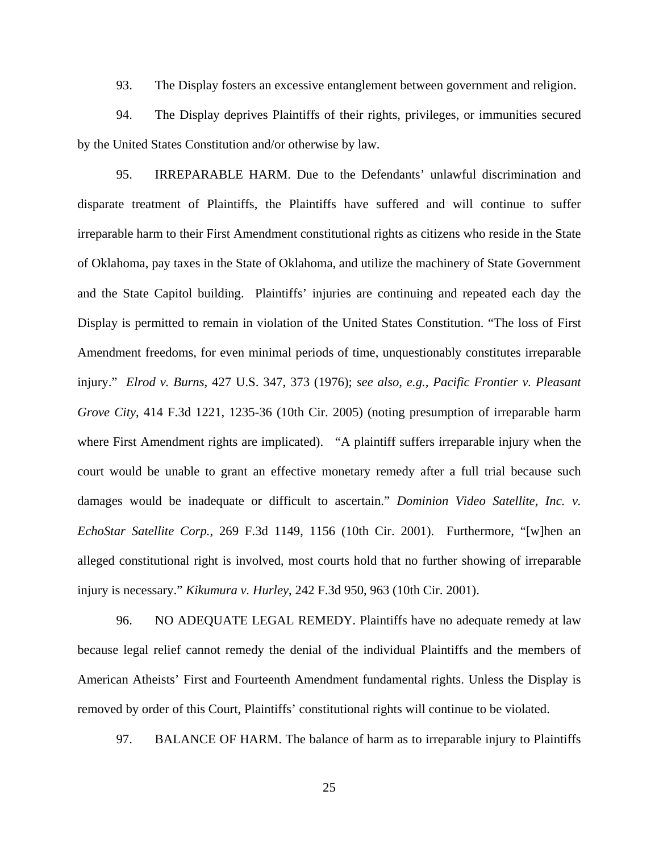93. The Display fosters an excessive entanglement between government and religion.

94. The Display deprives Plaintiffs of their rights, privileges, or immunities secured by the United States Constitution and/or otherwise by law.

95. IRREPARABLE HARM. Due to the Defendants' unlawful discrimination and disparate treatment of Plaintiffs, the Plaintiffs have suffered and will continue to suffer irreparable harm to their First Amendment constitutional rights as citizens who reside in the State of Oklahoma, pay taxes in the State of Oklahoma, and utilize the machinery of State Government and the State Capitol building. Plaintiffs' injuries are continuing and repeated each day the Display is permitted to remain in violation of the United States Constitution. "The loss of First Amendment freedoms, for even minimal periods of time, unquestionably constitutes irreparable injury." *Elrod v. Burns*, 427 U.S. 347, 373 (1976); *see also, e.g., Pacific Frontier v. Pleasant Grove City*, 414 F.3d 1221, 1235-36 (10th Cir. 2005) (noting presumption of irreparable harm where First Amendment rights are implicated). "A plaintiff suffers irreparable injury when the court would be unable to grant an effective monetary remedy after a full trial because such damages would be inadequate or difficult to ascertain." *Dominion Video Satellite, Inc. v. EchoStar Satellite Corp.*, 269 F.3d 1149, 1156 (10th Cir. 2001). Furthermore, "[w]hen an alleged constitutional right is involved, most courts hold that no further showing of irreparable injury is necessary." *Kikumura v. Hurley*, 242 F.3d 950, 963 (10th Cir. 2001).

 96. NO ADEQUATE LEGAL REMEDY. Plaintiffs have no adequate remedy at law because legal relief cannot remedy the denial of the individual Plaintiffs and the members of American Atheists' First and Fourteenth Amendment fundamental rights. Unless the Display is removed by order of this Court, Plaintiffs' constitutional rights will continue to be violated.

97. BALANCE OF HARM. The balance of harm as to irreparable injury to Plaintiffs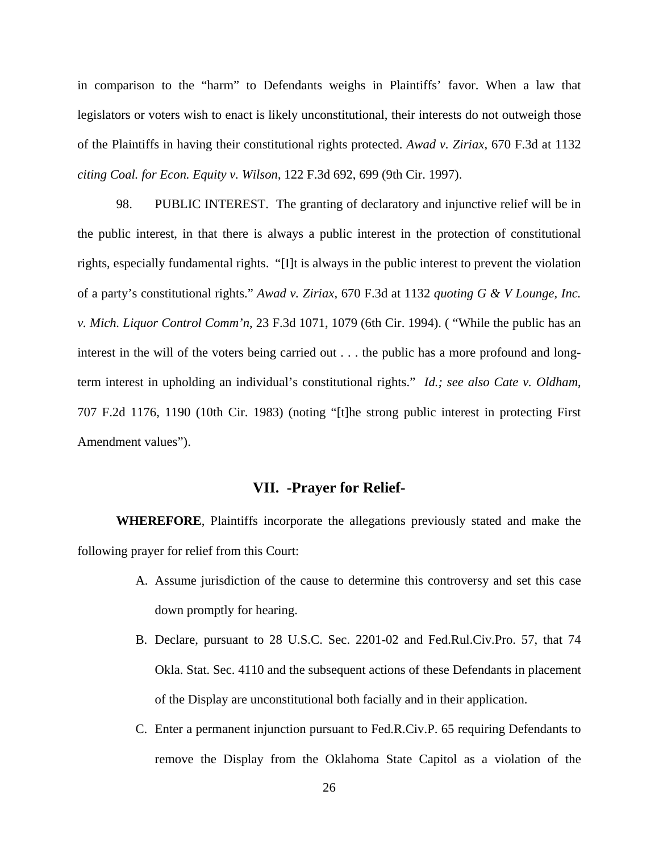in comparison to the "harm" to Defendants weighs in Plaintiffs' favor. When a law that legislators or voters wish to enact is likely unconstitutional, their interests do not outweigh those of the Plaintiffs in having their constitutional rights protected. *Awad v. Ziriax*, 670 F.3d at 1132 *citing Coal. for Econ. Equity v. Wilson*, 122 F.3d 692, 699 (9th Cir. 1997).

98. PUBLIC INTEREST. The granting of declaratory and injunctive relief will be in the public interest, in that there is always a public interest in the protection of constitutional rights, especially fundamental rights. "[I]t is always in the public interest to prevent the violation of a party's constitutional rights." *Awad v. Ziriax*, 670 F.3d at 1132 *quoting G & V Lounge, Inc. v. Mich. Liquor Control Comm'n*, 23 F.3d 1071, 1079 (6th Cir. 1994). ( "While the public has an interest in the will of the voters being carried out . . . the public has a more profound and longterm interest in upholding an individual's constitutional rights." *Id.; see also Cate v. Oldham*, 707 F.2d 1176, 1190 (10th Cir. 1983) (noting "[t]he strong public interest in protecting First Amendment values").

### **VII. -Prayer for Relief-**

**WHEREFORE**, Plaintiffs incorporate the allegations previously stated and make the following prayer for relief from this Court:

- A. Assume jurisdiction of the cause to determine this controversy and set this case down promptly for hearing.
- B. Declare, pursuant to 28 U.S.C. Sec. 2201-02 and Fed.Rul.Civ.Pro. 57, that 74 Okla. Stat. Sec. 4110 and the subsequent actions of these Defendants in placement of the Display are unconstitutional both facially and in their application.
- C. Enter a permanent injunction pursuant to Fed.R.Civ.P. 65 requiring Defendants to remove the Display from the Oklahoma State Capitol as a violation of the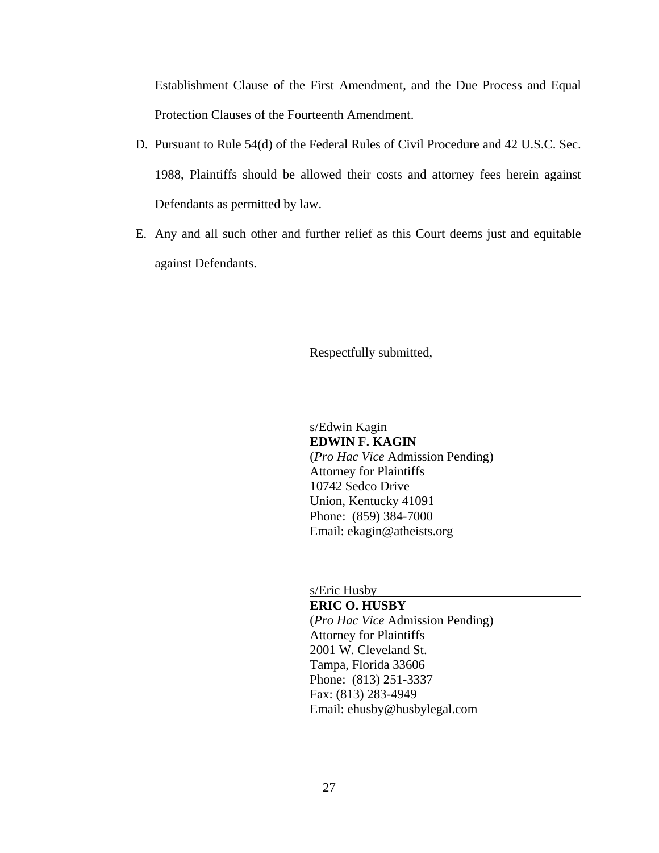Establishment Clause of the First Amendment, and the Due Process and Equal Protection Clauses of the Fourteenth Amendment.

- D. Pursuant to Rule 54(d) of the Federal Rules of Civil Procedure and 42 U.S.C. Sec. 1988, Plaintiffs should be allowed their costs and attorney fees herein against Defendants as permitted by law.
- E. Any and all such other and further relief as this Court deems just and equitable against Defendants.

Respectfully submitted,

s/Edwin Kagin

**EDWIN F. KAGIN** (*Pro Hac Vice* Admission Pending) Attorney for Plaintiffs 10742 Sedco Drive Union, Kentucky 41091 Phone: (859) 384-7000 Email: ekagin@atheists.org

s/Eric Husby

**ERIC O. HUSBY** (*Pro Hac Vice* Admission Pending) Attorney for Plaintiffs 2001 W. Cleveland St. Tampa, Florida 33606 Phone: (813) 251-3337 Fax: (813) 283-4949 Email: ehusby@husbylegal.com